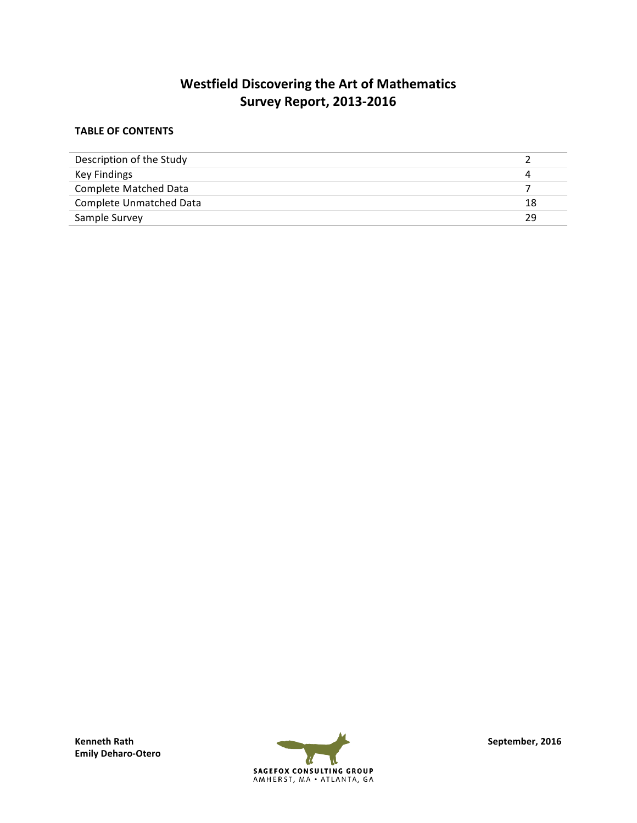# **Westfield Discovering the Art of Mathematics Survey Report, 2013-2016**

### **TABLE OF CONTENTS**

| Description of the Study |    |
|--------------------------|----|
| Key Findings             |    |
| Complete Matched Data    |    |
| Complete Unmatched Data  | 18 |
| Sample Survey            | 29 |

**Emily Deharo-Otero**

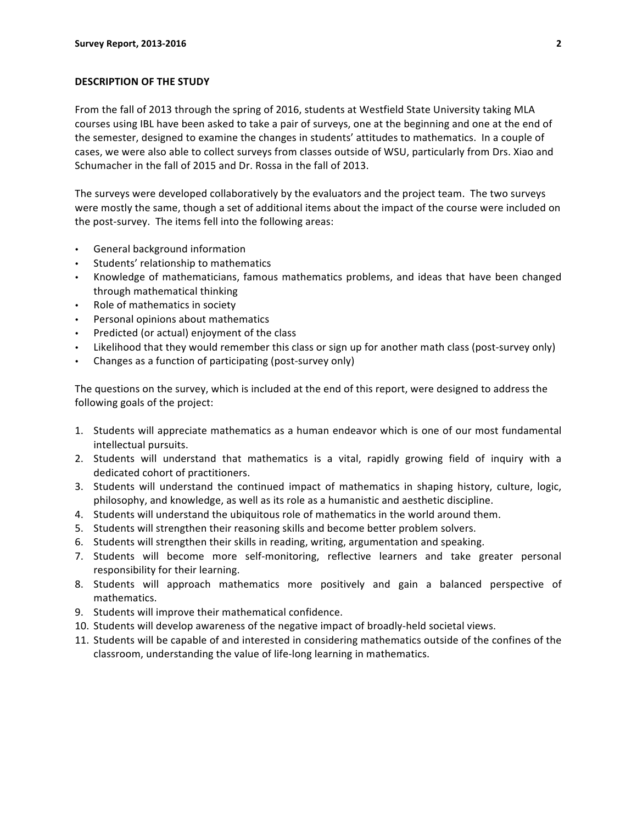#### **DESCRIPTION OF THE STUDY**

From the fall of 2013 through the spring of 2016, students at Westfield State University taking MLA courses using IBL have been asked to take a pair of surveys, one at the beginning and one at the end of the semester, designed to examine the changes in students' attitudes to mathematics. In a couple of cases, we were also able to collect surveys from classes outside of WSU, particularly from Drs. Xiao and Schumacher in the fall of 2015 and Dr. Rossa in the fall of 2013.

The surveys were developed collaboratively by the evaluators and the project team. The two surveys were mostly the same, though a set of additional items about the impact of the course were included on the post-survey. The items fell into the following areas:

- General background information
- Students' relationship to mathematics
- Knowledge of mathematicians, famous mathematics problems, and ideas that have been changed through mathematical thinking
- Role of mathematics in society
- Personal opinions about mathematics
- Predicted (or actual) enjoyment of the class
- Likelihood that they would remember this class or sign up for another math class (post-survey only)
- Changes as a function of participating (post-survey only)

The questions on the survey, which is included at the end of this report, were designed to address the following goals of the project:

- 1. Students will appreciate mathematics as a human endeavor which is one of our most fundamental intellectual pursuits.
- 2. Students will understand that mathematics is a vital, rapidly growing field of inquiry with a dedicated cohort of practitioners.
- 3. Students will understand the continued impact of mathematics in shaping history, culture, logic, philosophy, and knowledge, as well as its role as a humanistic and aesthetic discipline.
- 4. Students will understand the ubiquitous role of mathematics in the world around them.
- 5. Students will strengthen their reasoning skills and become better problem solvers.
- 6. Students will strengthen their skills in reading, writing, argumentation and speaking.
- 7. Students will become more self-monitoring, reflective learners and take greater personal responsibility for their learning.
- 8. Students will approach mathematics more positively and gain a balanced perspective of mathematics.
- 9. Students will improve their mathematical confidence.
- 10. Students will develop awareness of the negative impact of broadly-held societal views.
- 11. Students will be capable of and interested in considering mathematics outside of the confines of the classroom, understanding the value of life-long learning in mathematics.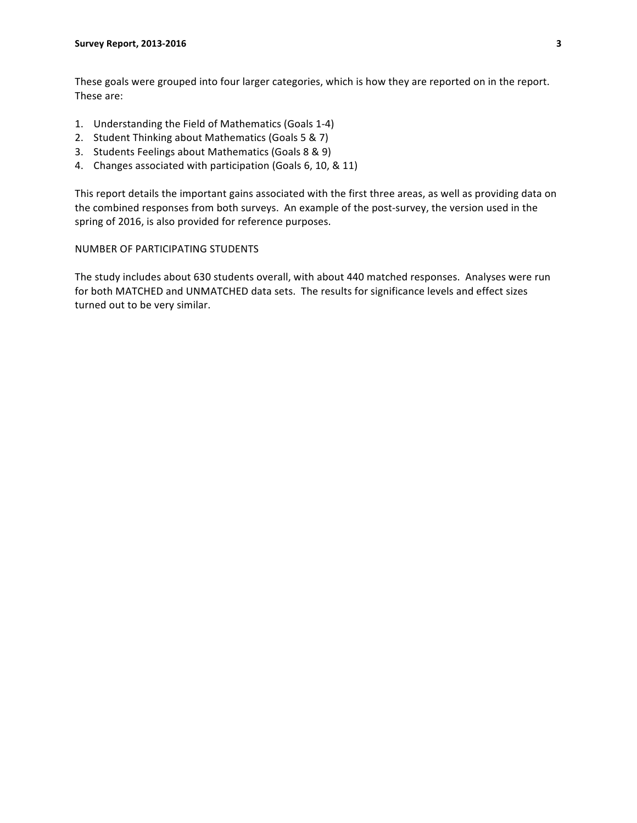These goals were grouped into four larger categories, which is how they are reported on in the report. These are:

- 1. Understanding the Field of Mathematics (Goals 1-4)
- 2. Student Thinking about Mathematics (Goals 5 & 7)
- 3. Students Feelings about Mathematics (Goals 8 & 9)
- 4. Changes associated with participation (Goals 6, 10, & 11)

This report details the important gains associated with the first three areas, as well as providing data on the combined responses from both surveys. An example of the post-survey, the version used in the spring of 2016, is also provided for reference purposes.

#### NUMBER OF PARTICIPATING STUDENTS

The study includes about 630 students overall, with about 440 matched responses. Analyses were run for both MATCHED and UNMATCHED data sets. The results for significance levels and effect sizes turned out to be very similar.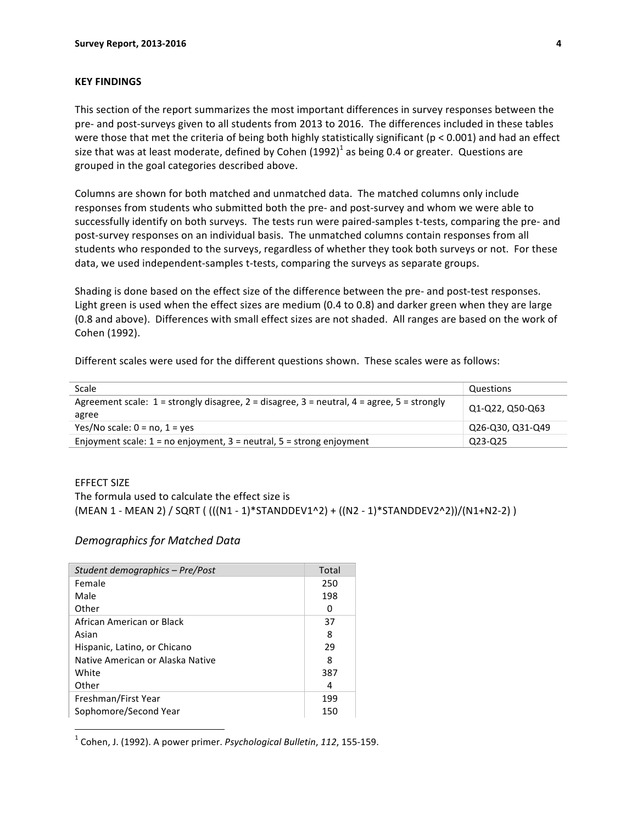#### **KEY FINDINGS**

This section of the report summarizes the most important differences in survey responses between the pre- and post-surveys given to all students from 2013 to 2016. The differences included in these tables were those that met the criteria of being both highly statistically significant ( $p < 0.001$ ) and had an effect size that was at least moderate, defined by Cohen  $(1992)^{1}$  as being 0.4 or greater. Questions are grouped in the goal categories described above.

Columns are shown for both matched and unmatched data. The matched columns only include responses from students who submitted both the pre- and post-survey and whom we were able to successfully identify on both surveys. The tests run were paired-samples t-tests, comparing the pre- and post-survey responses on an individual basis. The unmatched columns contain responses from all students who responded to the surveys, regardless of whether they took both surveys or not. For these data, we used independent-samples t-tests, comparing the surveys as separate groups.

Shading is done based on the effect size of the difference between the pre- and post-test responses. Light green is used when the effect sizes are medium (0.4 to 0.8) and darker green when they are large (0.8 and above). Differences with small effect sizes are not shaded. All ranges are based on the work of Cohen (1992).

Different scales were used for the different questions shown. These scales were as follows:

| Scale                                                                                                         | Questions        |
|---------------------------------------------------------------------------------------------------------------|------------------|
| Agreement scale: $1 =$ strongly disagree, $2 =$ disagree, $3 =$ neutral, $4 =$ agree, $5 =$ strongly<br>agree | Q1-Q22, Q50-Q63  |
| Yes/No scale: $0 = no$ , $1 = yes$                                                                            | Q26-Q30, Q31-Q49 |
| Enjoyment scale: $1 = no$ enjoyment, $3 =$ neutral, $5 =$ strong enjoyment                                    | Q23-Q25          |

#### EFFECT SIZE

The formula used to calculate the effect size is

 $(MEAN 1 - MEAN 2) / SQRT ((((N1 - 1)*STANDDEV1^2) + ((N2 - 1)*STANDDEV2^2)) / (N1 + N2 - 2))$ 

#### *Demographics for Matched Data*

| Student demographics - Pre/Post  | Total |
|----------------------------------|-------|
| Female                           | 250   |
| Male                             | 198   |
| Other                            | 0     |
| African American or Black        | 37    |
| Asian                            | 8     |
| Hispanic, Latino, or Chicano     | 29    |
| Native American or Alaska Native | 8     |
| White                            | 387   |
| Other                            | 4     |
| Freshman/First Year              | 199   |
| Sophomore/Second Year            | 150   |

 $<sup>1</sup>$  Cohen, J. (1992). A power primer. *Psychological Bulletin*, 112, 155-159.</sup>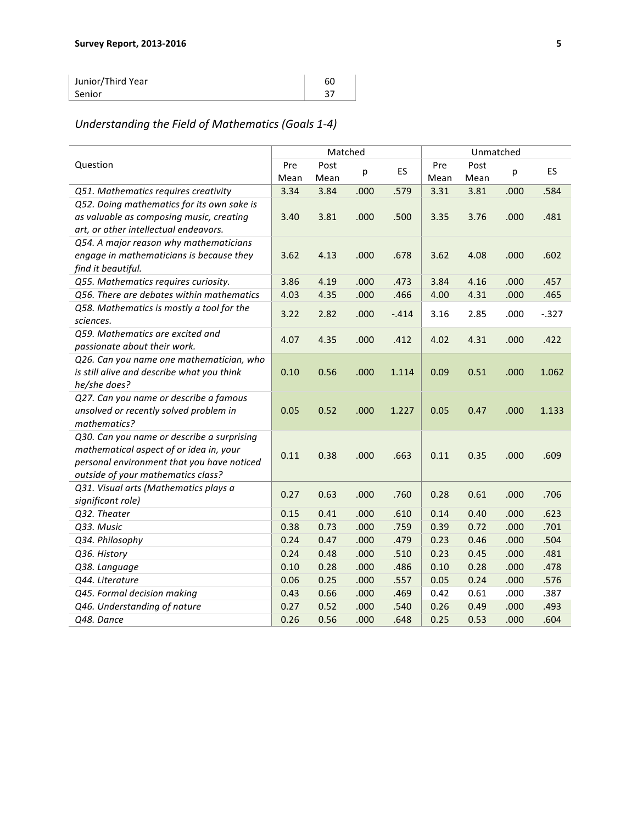| Junior/Third Year | 60 |
|-------------------|----|
| Senior            |    |

# Understanding the Field of Mathematics (Goals 1-4)

|                                                                                                                                                                           |             | Matched      |      |        | Unmatched   |              |      |          |
|---------------------------------------------------------------------------------------------------------------------------------------------------------------------------|-------------|--------------|------|--------|-------------|--------------|------|----------|
| Question                                                                                                                                                                  | Pre<br>Mean | Post<br>Mean | р    | ES     | Pre<br>Mean | Post<br>Mean | р    | ES       |
| Q51. Mathematics requires creativity                                                                                                                                      | 3.34        | 3.84         | .000 | .579   | 3.31        | 3.81         | .000 | .584     |
| Q52. Doing mathematics for its own sake is<br>as valuable as composing music, creating<br>art, or other intellectual endeavors.                                           | 3.40        | 3.81         | .000 | .500   | 3.35        | 3.76         | .000 | .481     |
| Q54. A major reason why mathematicians<br>engage in mathematicians is because they<br>find it beautiful.                                                                  | 3.62        | 4.13         | .000 | .678   | 3.62        | 4.08         | .000 | .602     |
| Q55. Mathematics requires curiosity.                                                                                                                                      | 3.86        | 4.19         | .000 | .473   | 3.84        | 4.16         | .000 | .457     |
| Q56. There are debates within mathematics                                                                                                                                 | 4.03        | 4.35         | .000 | .466   | 4.00        | 4.31         | .000 | .465     |
| Q58. Mathematics is mostly a tool for the<br>sciences.                                                                                                                    | 3.22        | 2.82         | .000 | $-414$ | 3.16        | 2.85         | .000 | $-0.327$ |
| Q59. Mathematics are excited and<br>passionate about their work.                                                                                                          | 4.07        | 4.35         | .000 | .412   | 4.02        | 4.31         | .000 | .422     |
| Q26. Can you name one mathematician, who<br>is still alive and describe what you think<br>he/she does?                                                                    | 0.10        | 0.56         | .000 | 1.114  | 0.09        | 0.51         | .000 | 1.062    |
| Q27. Can you name or describe a famous<br>unsolved or recently solved problem in<br>mathematics?                                                                          | 0.05        | 0.52         | .000 | 1.227  | 0.05        | 0.47         | .000 | 1.133    |
| Q30. Can you name or describe a surprising<br>mathematical aspect of or idea in, your<br>personal environment that you have noticed<br>outside of your mathematics class? | 0.11        | 0.38         | .000 | .663   | 0.11        | 0.35         | .000 | .609     |
| Q31. Visual arts (Mathematics plays a<br>significant role)                                                                                                                | 0.27        | 0.63         | .000 | .760   | 0.28        | 0.61         | .000 | .706     |
| Q32. Theater                                                                                                                                                              | 0.15        | 0.41         | .000 | .610   | 0.14        | 0.40         | .000 | .623     |
| Q33. Music                                                                                                                                                                | 0.38        | 0.73         | .000 | .759   | 0.39        | 0.72         | .000 | .701     |
| Q34. Philosophy                                                                                                                                                           | 0.24        | 0.47         | .000 | .479   | 0.23        | 0.46         | .000 | .504     |
| Q36. History                                                                                                                                                              | 0.24        | 0.48         | .000 | .510   | 0.23        | 0.45         | .000 | .481     |
| Q38. Language                                                                                                                                                             | 0.10        | 0.28         | .000 | .486   | 0.10        | 0.28         | .000 | .478     |
| Q44. Literature                                                                                                                                                           | 0.06        | 0.25         | .000 | .557   | 0.05        | 0.24         | .000 | .576     |
| Q45. Formal decision making                                                                                                                                               | 0.43        | 0.66         | .000 | .469   | 0.42        | 0.61         | .000 | .387     |
| Q46. Understanding of nature                                                                                                                                              | 0.27        | 0.52         | .000 | .540   | 0.26        | 0.49         | .000 | .493     |
| Q48. Dance                                                                                                                                                                | 0.26        | 0.56         | .000 | .648   | 0.25        | 0.53         | .000 | .604     |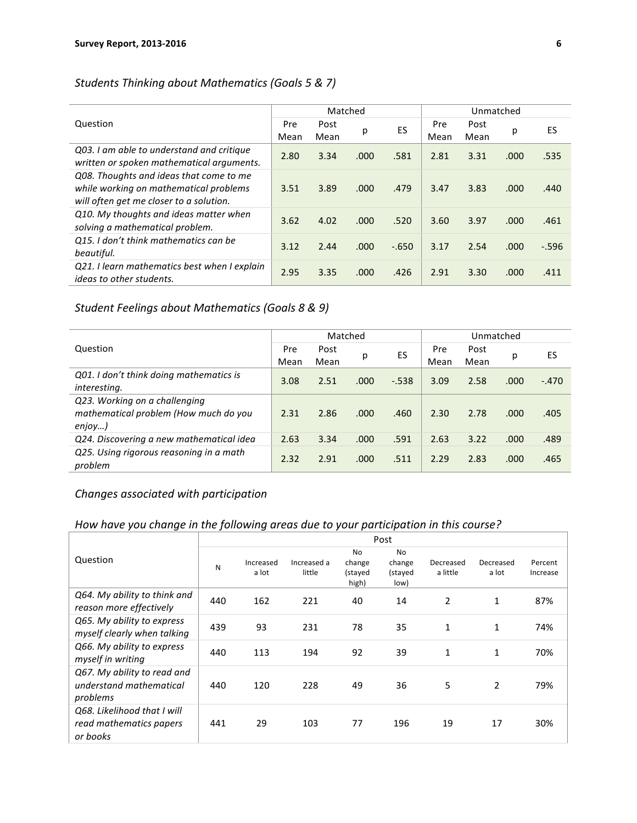## *Students Thinking about Mathematics (Goals 5 & 7)*

|                                                                                                                              |             | Matched      |      |          | Unmatched   |              |      |          |
|------------------------------------------------------------------------------------------------------------------------------|-------------|--------------|------|----------|-------------|--------------|------|----------|
| Question                                                                                                                     | Pre<br>Mean | Post<br>Mean | р    | ES       | Pre<br>Mean | Post<br>Mean | р    | ES       |
| Q03. I am able to understand and critique<br>written or spoken mathematical arguments.                                       | 2.80        | 3.34         | .000 | .581     | 2.81        | 3.31         | .000 | .535     |
| Q08. Thoughts and ideas that come to me<br>while working on mathematical problems<br>will often get me closer to a solution. | 3.51        | 3.89         | .000 | .479     | 3.47        | 3.83         | .000 | .440     |
| Q10. My thoughts and ideas matter when<br>solving a mathematical problem.                                                    | 3.62        | 4.02         | .000 | .520     | 3.60        | 3.97         | .000 | .461     |
| Q15. I don't think mathematics can be<br>beautiful.                                                                          | 3.12        | 2.44         | .000 | $-0.650$ | 3.17        | 2.54         | .000 | $-0.596$ |
| Q21. I learn mathematics best when I explain<br><i>ideas to other students.</i>                                              | 2.95        | 3.35         | .000 | .426     | 2.91        | 3.30         | .000 | .411     |

### Student Feelings about Mathematics (Goals 8 & 9)

|                                                                                     |      | Matched |       |          | Unmatched |      |      |         |
|-------------------------------------------------------------------------------------|------|---------|-------|----------|-----------|------|------|---------|
| Question                                                                            | Pre  | Post    | р     | ES       | Pre       | Post | р    | ES      |
|                                                                                     | Mean | Mean    |       |          | Mean      | Mean |      |         |
| Q01. I don't think doing mathematics is<br>interesting.                             | 3.08 | 2.51    | .000. | $-0.538$ | 3.09      | 2.58 | .000 | $-.470$ |
| Q23. Working on a challenging<br>mathematical problem (How much do you<br>$enjoy$ ) | 2.31 | 2.86    | .000  | .460     | 2.30      | 2.78 | .000 | .405    |
| Q24. Discovering a new mathematical idea                                            | 2.63 | 3.34    | .000  | .591     | 2.63      | 3.22 | .000 | .489    |
| Q25. Using rigorous reasoning in a math<br>problem                                  | 2.32 | 2.91    | .000  | .511     | 2.29      | 2.83 | .000 | .465    |

## *Changes associated with participation*

## How have you change in the following areas due to your participation in this course?

|                                                                    | Post |                    |                       |                                         |                                        |                       |                    |                     |
|--------------------------------------------------------------------|------|--------------------|-----------------------|-----------------------------------------|----------------------------------------|-----------------------|--------------------|---------------------|
| Question                                                           | N    | Increased<br>a lot | Increased a<br>little | <b>No</b><br>change<br>(stayed<br>high) | <b>No</b><br>change<br>(stayed<br>low) | Decreased<br>a little | Decreased<br>a lot | Percent<br>Increase |
| Q64. My ability to think and<br>reason more effectively            | 440  | 162                | 221                   | 40                                      | 14                                     | 2                     | 1                  | 87%                 |
| Q65. My ability to express<br>myself clearly when talking          | 439  | 93                 | 231                   | 78                                      | 35                                     | $\mathbf{1}$          | 1                  | 74%                 |
| Q66. My ability to express<br>myself in writing                    | 440  | 113                | 194                   | 92                                      | 39                                     | $\mathbf{1}$          | 1                  | 70%                 |
| Q67. My ability to read and<br>understand mathematical<br>problems | 440  | 120                | 228                   | 49                                      | 36                                     | 5                     | $\overline{2}$     | 79%                 |
| Q68. Likelihood that I will<br>read mathematics papers<br>or books | 441  | 29                 | 103                   | 77                                      | 196                                    | 19                    | 17                 | 30%                 |